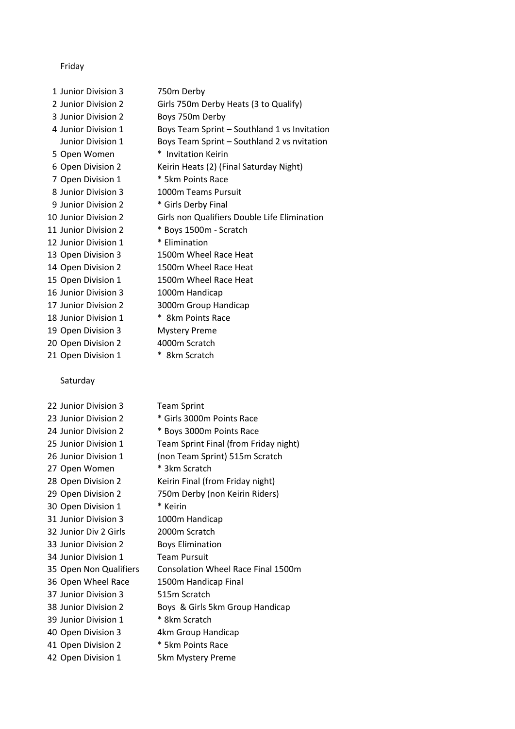## Friday

 Junior Division 2 Boys 750m Derby 5 Open Women \* Invitation Keirin 7 Open Division 1 \* 5km Points Race Junior Division 3 1000m Teams Pursuit 9 Junior Division 2 \* Girls Derby Final 11 Junior Division 2 \* Boys 1500m - Scratch 12 Junior Division 1 \* Elimination Junior Division 3 1000m Handicap Junior Division 2 3000m Group Handicap 18 Junior Division 1 \* 8km Points Race Open Division 3 Mystery Preme 20 Open Division 2 4000m Scratch

## Saturday

| 22 Junior Division 3   | <b>Team Sprint</b>                    |
|------------------------|---------------------------------------|
| 23 Junior Division 2   | * Girls 3000m Points Race             |
| 24 Junior Division 2   | * Boys 3000m Points Race              |
| 25 Junior Division 1   | Team Sprint Final (from Friday night) |
| 26 Junior Division 1   | (non Team Sprint) 515m Scratch        |
| 27 Open Women          | * 3km Scratch                         |
| 28 Open Division 2     | Keirin Final (from Friday night)      |
| 29 Open Division 2     | 750m Derby (non Keirin Riders)        |
| 30 Open Division 1     | * Keirin                              |
| 31 Junior Division 3   | 1000m Handicap                        |
| 32 Junior Div 2 Girls  | 2000m Scratch                         |
| 33 Junior Division 2   | <b>Boys Elimination</b>               |
| 34 Junior Division 1   | <b>Team Pursuit</b>                   |
| 35 Open Non Qualifiers | Consolation Wheel Race Final 1500m    |
| 36 Open Wheel Race     | 1500m Handicap Final                  |
| 37 Junior Division 3   | 515m Scratch                          |
| 38 Junior Division 2   | Boys & Girls 5km Group Handicap       |
| 39 Junior Division 1   | * 8km Scratch                         |
| 40 Open Division 3     | 4km Group Handicap                    |
| 41 Open Division 2     | * 5km Points Race                     |
| 42 Open Division 1     | 5km Mystery Preme                     |

 Junior Division 3 750m Derby Junior Division 2 Girls 750m Derby Heats (3 to Qualify) 4 Junior Division 1 Boys Team Sprint – Southland 1 vs Invitation Junior Division 1 Boys Team Sprint – Southland 2 vs nvitation Open Division 2 Keirin Heats (2) (Final Saturday Night) Junior Division 2 Girls non Qualifiers Double Life Elimination Open Division 3 1500m Wheel Race Heat Open Division 2 1500m Wheel Race Heat 15 Open Division 1 1500m Wheel Race Heat 21 Open Division 1 \* 8km Scratch